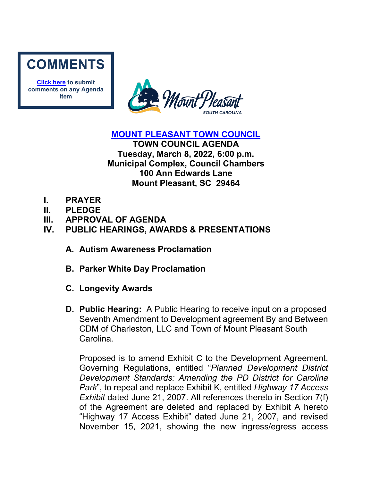

**[Click here](mailto:councilclk@tompsc.com) to submit comments on any Agenda Item**



### **[MOUNT PLEASANT TOWN COUNCIL](http://www.tompsc.com/index.aspx?NID=91)**

**TOWN COUNCIL AGENDA Tuesday, March 8, 2022, 6:00 p.m. Municipal Complex, Council Chambers 100 Ann Edwards Lane Mount Pleasant, SC 29464**

- **I. PRAYER**
- **II. PLEDGE**
- **III. APPROVAL OF AGENDA**

# **IV. PUBLIC HEARINGS, AWARDS & PRESENTATIONS**

- **A. Autism Awareness Proclamation**
- **B. Parker White Day Proclamation**
- **C. Longevity Awards**
- **D. Public Hearing:** A Public Hearing to receive input on a proposed Seventh Amendment to Development agreement By and Between CDM of Charleston, LLC and Town of Mount Pleasant South Carolina.

Proposed is to amend Exhibit C to the Development Agreement, Governing Regulations, entitled "*Planned Development District Development Standards: Amending the PD District for Carolina Park*", to repeal and replace Exhibit K, entitled *Highway 17 Access Exhibit* dated June 21, 2007. All references thereto in Section 7(f) of the Agreement are deleted and replaced by Exhibit A hereto "Highway 17 Access Exhibit" dated June 21, 2007, and revised November 15, 2021, showing the new ingress/egress access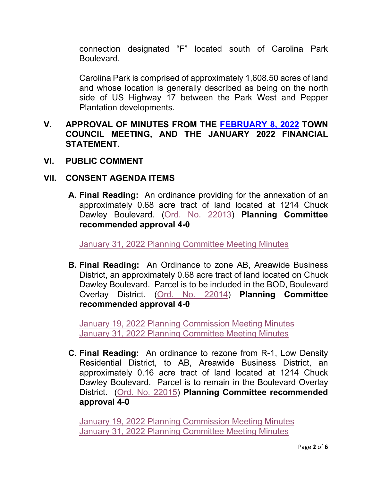connection designated "F" located south of Carolina Park **Boulevard** 

Carolina Park is comprised of approximately 1,608.50 acres of land and whose location is generally described as being on the north side of US Highway 17 between the Park West and Pepper Plantation developments.

### **V. APPROVAL OF MINUTES FROM THE [FEBRUARY 8, 2022](https://www.tompsc.com/AgendaCenter/ViewFile/Minutes/_02082022-1146) TOWN COUNCIL MEETING, AND THE JANUARY 2022 FINANCIAL STATEMENT.**

**VI. PUBLIC COMMENT**

### **VII. CONSENT AGENDA ITEMS**

**A. Final Reading:** An ordinance providing for the annexation of an approximately 0.68 acre tract of land located at 1214 Chuck Dawley Boulevard. [\(Ord. No. 22013\)](https://www.tompsc.com/DocumentCenter/View/40401/Ord-No-22013) **Planning Committee recommended approval 4-0**

[January 31, 2022 Planning Committee Meeting Minutes](https://www.tompsc.com/AgendaCenter/ViewFile/Minutes/_01312022-1141)

**B. Final Reading:** An Ordinance to zone AB, Areawide Business District, an approximately 0.68 acre tract of land located on Chuck Dawley Boulevard. Parcel is to be included in the BOD, Boulevard Overlay District. [\(Ord. No. 22014\)](https://www.tompsc.com/DocumentCenter/View/40402/Ord-No-22014) **Planning Committee recommended approval 4-0**

[January 19, 2022 Planning Commission Meeting Minutes](https://www.tompsc.com/AgendaCenter/ViewFile/Minutes/_01192022-1125) [January 31, 2022 Planning Committee Meeting Minutes](https://www.tompsc.com/AgendaCenter/ViewFile/Minutes/_01312022-1141)

**C. Final Reading:** An ordinance to rezone from R-1, Low Density Residential District, to AB, Areawide Business District, an approximately 0.16 acre tract of land located at 1214 Chuck Dawley Boulevard. Parcel is to remain in the Boulevard Overlay District. [\(Ord. No. 22015\)](https://www.tompsc.com/DocumentCenter/View/40403/Ord-No-22015) **Planning Committee recommended approval 4-0**

[January 19, 2022 Planning Commission Meeting Minutes](https://www.tompsc.com/AgendaCenter/ViewFile/Minutes/_01192022-1125) [January 31, 2022 Planning Committee Meeting Minutes](https://www.tompsc.com/AgendaCenter/ViewFile/Minutes/_01312022-1141)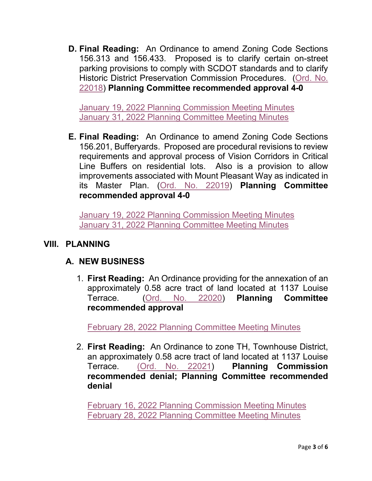**D. Final Reading:** An Ordinance to amend Zoning Code Sections 156.313 and 156.433. Proposed is to clarify certain on-street parking provisions to comply with SCDOT standards and to clarify Historic District Preservation Commission Procedures. [\(Ord. No.](https://www.tompsc.com/DocumentCenter/View/40397/Ord-No-22018)  [22018\)](https://www.tompsc.com/DocumentCenter/View/40397/Ord-No-22018) **Planning Committee recommended approval 4-0**

[January 19, 2022 Planning Commission Meeting Minutes](https://www.tompsc.com/AgendaCenter/ViewFile/Minutes/_01192022-1125) [January 31, 2022 Planning Committee Meeting Minutes](https://www.tompsc.com/AgendaCenter/ViewFile/Minutes/_01312022-1141)

**E. Final Reading:** An Ordinance to amend Zoning Code Sections 156.201, Bufferyards. Proposed are procedural revisions to review requirements and approval process of Vision Corridors in Critical Line Buffers on residential lots. Also is a provision to allow improvements associated with Mount Pleasant Way as indicated in its Master Plan. [\(Ord. No. 22019\)](https://www.tompsc.com/DocumentCenter/View/40398/Ord-No-22019) **Planning Committee recommended approval 4-0**

[January 19, 2022 Planning Commission Meeting Minutes](https://www.tompsc.com/AgendaCenter/ViewFile/Minutes/_01192022-1125) [January 31, 2022 Planning Committee Meeting Minutes](https://www.tompsc.com/AgendaCenter/ViewFile/Minutes/_01312022-1141)

# **VIII. PLANNING**

# **A. NEW BUSINESS**

1. **First Reading:** An Ordinance providing for the annexation of an approximately 0.58 acre tract of land located at 1137 Louise Terrace. [\(Ord. No. 22020\)](https://www.tompsc.com/DocumentCenter/View/40831/Ord-No-22020) **Planning Committee recommended approval**

[February 28, 2022 Planning Committee Meeting Minutes](https://gcc02.safelinks.protection.outlook.com/?url=https%3A%2F%2Fwww.tompsc.com%2FAgendaCenter%2FViewFile%2FMinutes%2F_02282022-1162&data=04%7C01%7CCBarrett%40tompsc.com%7C5d4ae3f93072458c6ed708d9fd5a24e4%7C1625c41990b6460eafc73f4628c3f25d%7C0%7C0%7C637819385875051425%7CUnknown%7CTWFpbGZsb3d8eyJWIjoiMC4wLjAwMDAiLCJQIjoiV2luMzIiLCJBTiI6Ik1haWwiLCJXVCI6Mn0%3D%7C3000&sdata=axfyqsRvs5plDOrftfRaKYo0lN5W15YxnnDFpN6pg%2F8%3D&reserved=0)

2. **First Reading:** An Ordinance to zone TH, Townhouse District, an approximately 0.58 acre tract of land located at 1137 Louise Terrace. [\(Ord. No.](https://www.tompsc.com/DocumentCenter/View/40829/Ord-No-22021) 22021) **Planning Commission recommended denial; Planning Committee recommended denial**

[February 16, 2022 Planning Commission Meeting Minutes](https://www.tompsc.com/AgendaCenter/ViewFile/Minutes/_02162022-1144) [February 28, 2022 Planning Committee Meeting Minutes](https://gcc02.safelinks.protection.outlook.com/?url=https%3A%2F%2Fwww.tompsc.com%2FAgendaCenter%2FViewFile%2FMinutes%2F_02282022-1162&data=04%7C01%7CCBarrett%40tompsc.com%7C5d4ae3f93072458c6ed708d9fd5a24e4%7C1625c41990b6460eafc73f4628c3f25d%7C0%7C0%7C637819385875051425%7CUnknown%7CTWFpbGZsb3d8eyJWIjoiMC4wLjAwMDAiLCJQIjoiV2luMzIiLCJBTiI6Ik1haWwiLCJXVCI6Mn0%3D%7C3000&sdata=axfyqsRvs5plDOrftfRaKYo0lN5W15YxnnDFpN6pg%2F8%3D&reserved=0)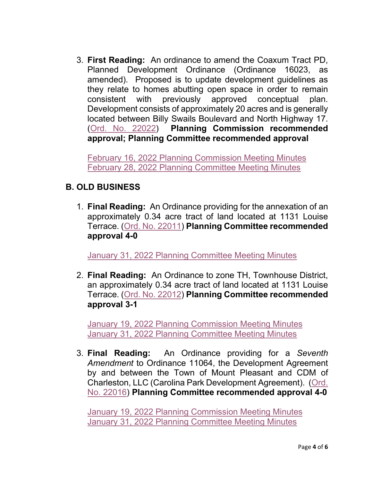3. **First Reading:** An ordinance to amend the Coaxum Tract PD, Planned Development Ordinance (Ordinance 16023, as amended). Proposed is to update development guidelines as they relate to homes abutting open space in order to remain consistent with previously approved conceptual plan. Development consists of approximately 20 acres and is generally located between Billy Swails Boulevard and North Highway 17. [\(Ord. No. 22022\)](https://www.tompsc.com/DocumentCenter/View/40830/Ord-No-22022) **Planning Commission recommended approval; Planning Committee recommended approval**

[February 16, 2022 Planning Commission Meeting Minutes](https://www.tompsc.com/AgendaCenter/ViewFile/Minutes/_02162022-1144) [February 28, 2022 Planning Committee Meeting Minutes](https://gcc02.safelinks.protection.outlook.com/?url=https%3A%2F%2Fwww.tompsc.com%2FAgendaCenter%2FViewFile%2FMinutes%2F_02282022-1162&data=04%7C01%7CCBarrett%40tompsc.com%7C5d4ae3f93072458c6ed708d9fd5a24e4%7C1625c41990b6460eafc73f4628c3f25d%7C0%7C0%7C637819385875051425%7CUnknown%7CTWFpbGZsb3d8eyJWIjoiMC4wLjAwMDAiLCJQIjoiV2luMzIiLCJBTiI6Ik1haWwiLCJXVCI6Mn0%3D%7C3000&sdata=axfyqsRvs5plDOrftfRaKYo0lN5W15YxnnDFpN6pg%2F8%3D&reserved=0)

# **B. OLD BUSINESS**

1. **Final Reading:** An Ordinance providing for the annexation of an approximately 0.34 acre tract of land located at 1131 Louise Terrace. [\(Ord. No. 22011\)](https://www.tompsc.com/DocumentCenter/View/40399/Ord-No-22011) **Planning Committee recommended approval 4-0**

[January 31, 2022 Planning Committee Meeting Minutes](https://www.tompsc.com/AgendaCenter/ViewFile/Minutes/_01312022-1141)

2. **Final Reading:** An Ordinance to zone TH, Townhouse District, an approximately 0.34 acre tract of land located at 1131 Louise Terrace. [\(Ord. No. 22012\)](https://www.tompsc.com/DocumentCenter/View/40400/Ord-No-22012) **Planning Committee recommended approval 3-1**

[January 19, 2022 Planning Commission Meeting Minutes](https://www.tompsc.com/AgendaCenter/ViewFile/Minutes/_01192022-1125) January 31, 2022 [Planning Committee Meeting Minutes](https://www.tompsc.com/AgendaCenter/ViewFile/Minutes/_01312022-1141)

3. **Final Reading:** An Ordinance providing for a *Seventh Amendment* to Ordinance 11064, the Development Agreement by and between the Town of Mount Pleasant and CDM of Charleston, LLC (Carolina Park Development Agreement). [\(Ord.](https://www.tompsc.com/DocumentCenter/View/40395/Ord-No-22016)  [No. 22016\)](https://www.tompsc.com/DocumentCenter/View/40395/Ord-No-22016) **Planning Committee recommended approval 4-0**

[January 19, 2022 Planning Commission Meeting Minutes](https://www.tompsc.com/AgendaCenter/ViewFile/Minutes/_01192022-1125) [January 31, 2022 Planning Committee Meeting Minutes](https://www.tompsc.com/AgendaCenter/ViewFile/Minutes/_01312022-1141)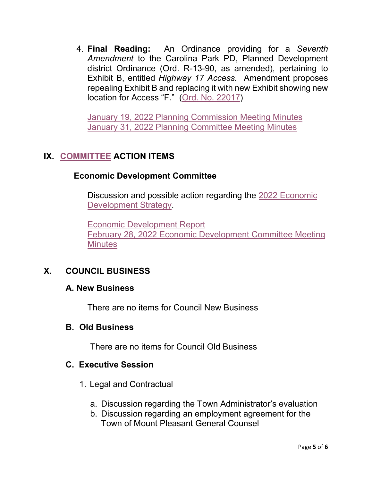4. **Final Reading:** An Ordinance providing for a *Seventh Amendment* to the Carolina Park PD, Planned Development district Ordinance (Ord. R-13-90, as amended), pertaining to Exhibit B, entitled *Highway 17 Access.* Amendment proposes repealing Exhibit B and replacing it with new Exhibit showing new location for Access "F." [\(Ord. No. 22017\)](https://www.tompsc.com/DocumentCenter/View/40396/Ord-No-22017)

[January 19, 2022 Planning Commission Meeting Minutes](https://www.tompsc.com/AgendaCenter/ViewFile/Minutes/_01192022-1125) [January 31, 2022 Planning Committee Meeting Minutes](https://www.tompsc.com/AgendaCenter/ViewFile/Minutes/_01312022-1141)

# **IX. [COMMITTEE](https://www.tompsc.com/agendacenter) ACTION ITEMS**

### **Economic Development Committee**

Discussion and possible action regarding the [2022 Economic](https://www.tompsc.com/DocumentCenter/View/40832/TOMP_Economic-Development-Strategy_DRAFT_2022-02-25)  [Development Strategy.](https://www.tompsc.com/DocumentCenter/View/40832/TOMP_Economic-Development-Strategy_DRAFT_2022-02-25)

[Economic Development Report](https://www.tompsc.com/DocumentCenter/View/40835/ED-Report) February 28, 2022 [Economic Development Committee Meeting](https://gcc02.safelinks.protection.outlook.com/?url=https%3A%2F%2Fwww.tompsc.com%2FAgendaCenter%2FViewFile%2FMinutes%2F_02282022-1156&data=04%7C01%7CCBarrett%40tompsc.com%7C5d4ae3f93072458c6ed708d9fd5a24e4%7C1625c41990b6460eafc73f4628c3f25d%7C0%7C0%7C637819385875051425%7CUnknown%7CTWFpbGZsb3d8eyJWIjoiMC4wLjAwMDAiLCJQIjoiV2luMzIiLCJBTiI6Ik1haWwiLCJXVCI6Mn0%3D%7C3000&sdata=rz9mEu9SwD9QCgO52cYtfl7hMiI5xER8V4hoWzyKASY%3D&reserved=0)  **[Minutes](https://gcc02.safelinks.protection.outlook.com/?url=https%3A%2F%2Fwww.tompsc.com%2FAgendaCenter%2FViewFile%2FMinutes%2F_02282022-1156&data=04%7C01%7CCBarrett%40tompsc.com%7C5d4ae3f93072458c6ed708d9fd5a24e4%7C1625c41990b6460eafc73f4628c3f25d%7C0%7C0%7C637819385875051425%7CUnknown%7CTWFpbGZsb3d8eyJWIjoiMC4wLjAwMDAiLCJQIjoiV2luMzIiLCJBTiI6Ik1haWwiLCJXVCI6Mn0%3D%7C3000&sdata=rz9mEu9SwD9QCgO52cYtfl7hMiI5xER8V4hoWzyKASY%3D&reserved=0)** 

# **X. COUNCIL BUSINESS**

#### **A. New Business**

There are no items for Council New Business

#### **B. Old Business**

There are no items for Council Old Business

#### **C. Executive Session**

- 1. Legal and Contractual
	- a. Discussion regarding the Town Administrator's evaluation
	- b. Discussion regarding an employment agreement for the Town of Mount Pleasant General Counsel